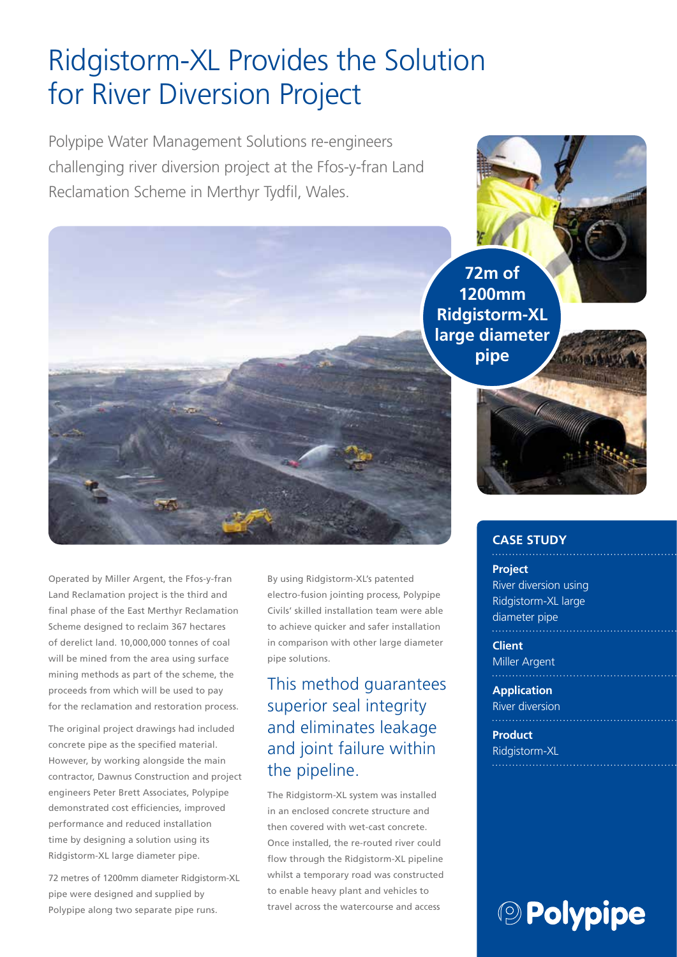## Ridgistorm-XL Provides the Solution for River Diversion Project

Polypipe Water Management Solutions re-engineers challenging river diversion project at the Ffos-y-fran Land Reclamation Scheme in Merthyr Tydfil, Wales.



Operated by Miller Argent, the Ffos-y-fran Land Reclamation project is the third and final phase of the East Merthyr Reclamation Scheme designed to reclaim 367 hectares of derelict land. 10,000,000 tonnes of coal will be mined from the area using surface mining methods as part of the scheme, the proceeds from which will be used to pay for the reclamation and restoration process.

The original project drawings had included concrete pipe as the specified material. However, by working alongside the main contractor, Dawnus Construction and project engineers Peter Brett Associates, Polypipe demonstrated cost efficiencies, improved performance and reduced installation time by designing a solution using its Ridgistorm-XL large diameter pipe.

72 metres of 1200mm diameter Ridgistorm-XL pipe were designed and supplied by Polypipe along two separate pipe runs.

By using Ridgistorm-XL's patented electro-fusion jointing process, Polypipe Civils' skilled installation team were able to achieve quicker and safer installation in comparison with other large diameter pipe solutions.

### This method guarantees superior seal integrity and eliminates leakage and joint failure within the pipeline.

The Ridgistorm-XL system was installed in an enclosed concrete structure and then covered with wet-cast concrete. Once installed, the re-routed river could flow through the Ridgistorm-XL pipeline whilst a temporary road was constructed to enable heavy plant and vehicles to travel across the watercourse and access

#### **CASE STUDY**

**Project** River diversion using Ridgistorm-XL large diameter pipe

**Client** Miller Argent

**Application** River diversion

**Product** Ridgistorm-XL

# **<sup><b>OD Polypipe**</sup>